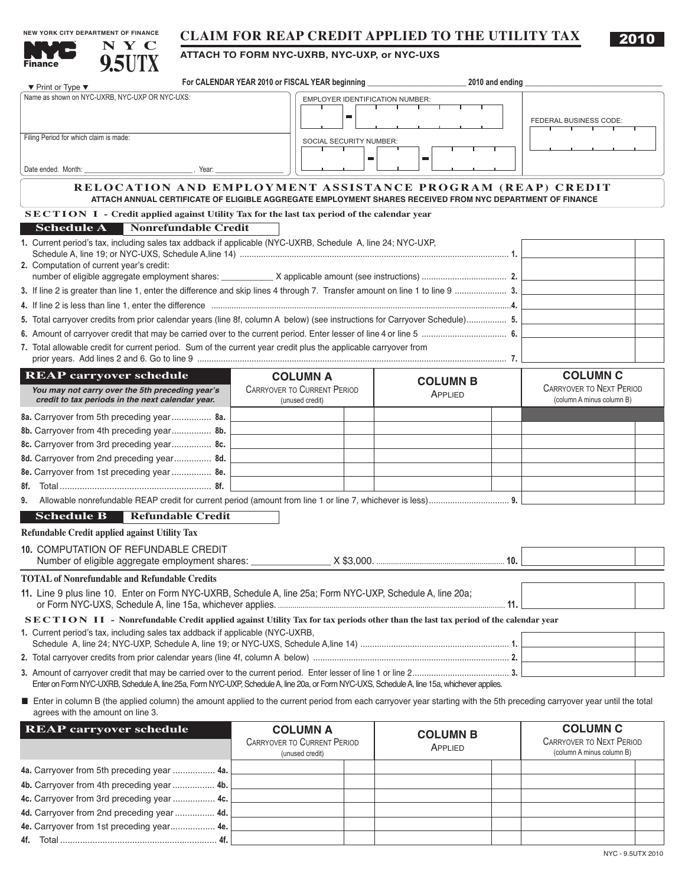|                                             | NEW YORK CITY DEPARTMENT OF FINANCE                                                                 |                                                                 | <b>CLAIM FOR REAP CREDIT APPLIED TO THE UTILITY TAX</b>                                                                                                                 |                         |                                 |                            |  |                                                                                                                                                                         |  |
|---------------------------------------------|-----------------------------------------------------------------------------------------------------|-----------------------------------------------------------------|-------------------------------------------------------------------------------------------------------------------------------------------------------------------------|-------------------------|---------------------------------|----------------------------|--|-------------------------------------------------------------------------------------------------------------------------------------------------------------------------|--|
| Finance                                     | N Y C<br>9.5UTX                                                                                     | ATTACH TO FORM NYC-UXRB, NYC-UXP, or NYC-UXS<br>2010 and ending |                                                                                                                                                                         |                         |                                 |                            |  |                                                                                                                                                                         |  |
| $\blacktriangledown$ Print or Type $\nabla$ |                                                                                                     |                                                                 |                                                                                                                                                                         |                         |                                 |                            |  |                                                                                                                                                                         |  |
|                                             | Name as shown on NYC-UXRB, NYC-UXP OR NYC-UXS:                                                      |                                                                 |                                                                                                                                                                         |                         | EMPLOYER IDENTIFICATION NUMBER: |                            |  |                                                                                                                                                                         |  |
|                                             |                                                                                                     |                                                                 |                                                                                                                                                                         | ш                       | ┰                               |                            |  | <b>FEDERAL BUSINESS CODE:</b>                                                                                                                                           |  |
| Filing Period for which claim is made:      |                                                                                                     |                                                                 |                                                                                                                                                                         | SOCIAL SECURITY NUMBER: |                                 |                            |  |                                                                                                                                                                         |  |
|                                             |                                                                                                     |                                                                 |                                                                                                                                                                         | $\blacksquare$          |                                 | $\blacksquare$             |  |                                                                                                                                                                         |  |
| Date ended. Month:                          |                                                                                                     | Year:                                                           |                                                                                                                                                                         |                         |                                 |                            |  |                                                                                                                                                                         |  |
|                                             |                                                                                                     |                                                                 | RELOCATION AND EMPLOYMENT ASSISTANCE PROGRAM (REAP) CREDIT<br>ATTACH ANNUAL CERTIFICATE OF ELIGIBLE AGGREGATE EMPLOYMENT SHARES RECEIVED FROM NYC DEPARTMENT OF FINANCE |                         |                                 |                            |  |                                                                                                                                                                         |  |
|                                             |                                                                                                     |                                                                 | SECTION I - Credit applied against Utility Tax for the last tax period of the calendar year                                                                             |                         |                                 |                            |  |                                                                                                                                                                         |  |
| <b>Schedule A</b>                           |                                                                                                     | <b>Nonrefundable Credit</b>                                     |                                                                                                                                                                         |                         |                                 |                            |  |                                                                                                                                                                         |  |
|                                             |                                                                                                     |                                                                 | 1. Current period's tax, including sales tax addback if applicable (NYC-UXRB, Schedule A, line 24; NYC-UXP,                                                             |                         |                                 |                            |  |                                                                                                                                                                         |  |
|                                             |                                                                                                     |                                                                 |                                                                                                                                                                         |                         |                                 |                            |  |                                                                                                                                                                         |  |
|                                             | 2. Computation of current year's credit:                                                            |                                                                 |                                                                                                                                                                         |                         |                                 |                            |  |                                                                                                                                                                         |  |
|                                             |                                                                                                     |                                                                 |                                                                                                                                                                         |                         |                                 |                            |  |                                                                                                                                                                         |  |
|                                             |                                                                                                     |                                                                 |                                                                                                                                                                         |                         |                                 |                            |  |                                                                                                                                                                         |  |
|                                             |                                                                                                     |                                                                 | 5. Total carryover credits from prior calendar years (line 8f, column A below) (see instructions for Carryover Schedule) 5.                                             |                         |                                 |                            |  |                                                                                                                                                                         |  |
|                                             |                                                                                                     |                                                                 |                                                                                                                                                                         |                         |                                 |                            |  |                                                                                                                                                                         |  |
|                                             |                                                                                                     |                                                                 | 7. Total allowable credit for current period. Sum of the current year credit plus the applicable carryover from                                                         |                         |                                 |                            |  |                                                                                                                                                                         |  |
|                                             |                                                                                                     |                                                                 |                                                                                                                                                                         |                         |                                 |                            |  |                                                                                                                                                                         |  |
| <b>REAP carryover schedule</b>              |                                                                                                     |                                                                 | <b>COLUMN A</b>                                                                                                                                                         |                         |                                 | <b>COLUMN B</b>            |  | <b>COLUMN C</b>                                                                                                                                                         |  |
|                                             | You may not carry over the 5th preceding year's<br>credit to tax periods in the next calendar year. |                                                                 | <b>CARRYOVER TO CURRENT PERIOD</b><br>(unused credit)                                                                                                                   |                         |                                 | APPLIED                    |  | <b>CARRYOVER TO NEXT PERIOD</b><br>(column A minus column B)                                                                                                            |  |
|                                             | 8a. Carryover from 5th preceding year 8a.                                                           |                                                                 |                                                                                                                                                                         |                         |                                 |                            |  |                                                                                                                                                                         |  |
|                                             | 8b. Carryover from 4th preceding year 8b.                                                           |                                                                 |                                                                                                                                                                         |                         |                                 |                            |  |                                                                                                                                                                         |  |
|                                             | 8c. Carryover from 3rd preceding year 8c.                                                           |                                                                 |                                                                                                                                                                         |                         |                                 |                            |  |                                                                                                                                                                         |  |
|                                             | 8d. Carryover from 2nd preceding year 8d.                                                           |                                                                 |                                                                                                                                                                         |                         |                                 |                            |  |                                                                                                                                                                         |  |
| 8f.                                         | 8e. Carryover from 1st preceding year  8e.                                                          |                                                                 |                                                                                                                                                                         |                         |                                 |                            |  |                                                                                                                                                                         |  |
| 9.                                          |                                                                                                     |                                                                 |                                                                                                                                                                         |                         |                                 |                            |  |                                                                                                                                                                         |  |
| <b>Schedule B</b>                           |                                                                                                     | <b>Refundable Credit</b>                                        |                                                                                                                                                                         |                         |                                 |                            |  |                                                                                                                                                                         |  |
|                                             | Refundable Credit applied against Utility Tax                                                       |                                                                 |                                                                                                                                                                         |                         |                                 |                            |  |                                                                                                                                                                         |  |
|                                             | 10. COMPUTATION OF REFUNDABLE CREDIT                                                                |                                                                 |                                                                                                                                                                         |                         |                                 |                            |  |                                                                                                                                                                         |  |
|                                             |                                                                                                     |                                                                 |                                                                                                                                                                         |                         |                                 |                            |  |                                                                                                                                                                         |  |
|                                             | <b>TOTAL of Nonrefundable and Refundable Credits</b>                                                |                                                                 |                                                                                                                                                                         |                         |                                 |                            |  |                                                                                                                                                                         |  |
|                                             |                                                                                                     |                                                                 | 11. Line 9 plus line 10. Enter on Form NYC-UXRB, Schedule A, line 25a; Form NYC-UXP, Schedule A, line 20a;                                                              |                         |                                 |                            |  |                                                                                                                                                                         |  |
|                                             |                                                                                                     |                                                                 | SECTION II - Nonrefundable Credit applied against Utility Tax for tax periods other than the last tax period of the calendar year                                       |                         |                                 |                            |  |                                                                                                                                                                         |  |
|                                             |                                                                                                     |                                                                 | 1. Current period's tax, including sales tax addback if applicable (NYC-UXRB,                                                                                           |                         |                                 |                            |  |                                                                                                                                                                         |  |
|                                             |                                                                                                     |                                                                 |                                                                                                                                                                         |                         |                                 |                            |  |                                                                                                                                                                         |  |
|                                             |                                                                                                     |                                                                 |                                                                                                                                                                         |                         |                                 |                            |  |                                                                                                                                                                         |  |
|                                             |                                                                                                     |                                                                 | Enter on Form NYC-UXRB, Schedule A, line 25a, Form NYC-UXP, Schedule A, line 20a, or Form NYC-UXS, Schedule A, line 15a, whichever applies.                             |                         |                                 |                            |  |                                                                                                                                                                         |  |
|                                             | agrees with the amount on line 3.                                                                   |                                                                 |                                                                                                                                                                         |                         |                                 |                            |  | Enter in column B (the applied column) the amount applied to the current period from each carryover year starting with the 5th preceding carryover year until the total |  |
|                                             | <b>REAP carryover schedule</b>                                                                      |                                                                 | <b>COLUMN A</b><br>CARRYOVER TO CURRENT PERIOD<br>(unused credit)                                                                                                       |                         |                                 | <b>COLUMN B</b><br>APPLIED |  | <b>COLUMN C</b><br><b>CARRYOVER TO NEXT PERIOD</b><br>(column A minus column B)                                                                                         |  |

**4b.** Carryover from 4th preceding year................. **4b. 4c.** Carryover from 3rd preceding year ................. **4c. 4d.** Carryover from 2nd preceding year................ **4d. 4e.** Carryover from 1st preceding year.................. **4e. 4f.** Total ............................................................... **4f.**